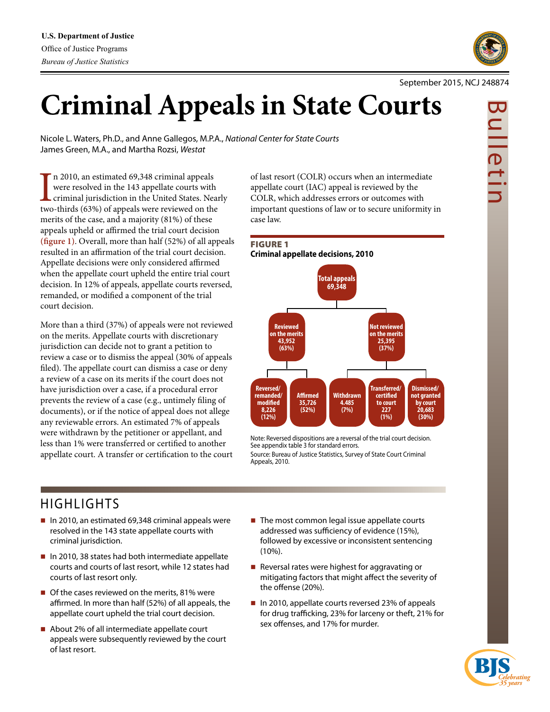

Nicole L. Waters, Ph.D., and Anne Gallegos, M.P.A., *National Center for State Courts* James Green, M.A., and Martha Rozsi, *Westat*

In 2010, an estimated 69,348 criminal appeals<br>were resolved in the 143 appellate courts with<br>criminal jurisdiction in the United States. Near<br>two-thirds (63%) of appeals were reviewed on the n 2010, an estimated 69,348 criminal appeals were resolved in the 143 appellate courts with criminal jurisdiction in the United States. Nearly merits of the case, and a majority (81%) of these appeals upheld or affirmed the trial court decision **(figure 1)**. Overall, more than half (52%) of all appeals resulted in an affirmation of the trial court decision. Appellate decisions were only considered affirmed when the appellate court upheld the entire trial court decision. In 12% of appeals, appellate courts reversed, remanded, or modified a component of the trial court decision.

More than a third (37%) of appeals were not reviewed on the merits. Appellate courts with discretionary jurisdiction can decide not to grant a petition to review a case or to dismiss the appeal (30% of appeals filed). The appellate court can dismiss a case or deny a review of a case on its merits if the court does not have jurisdiction over a case, if a procedural error prevents the review of a case (e.g., untimely filing of documents), or if the notice of appeal does not allege any reviewable errors. An estimated 7% of appeals were withdrawn by the petitioner or appellant, and less than 1% were transferred or certified to another appellate court. A transfer or certification to the court of last resort (COLR) occurs when an intermediate appellate court (IAC) appeal is reviewed by the COLR, which addresses errors or outcomes with important questions of law or to secure uniformity in case law.



Note: Reversed dispositions are a reversal of the trial court decision. See appendix table 3 for standard errors. Source: Bureau of Justice Statistics, Survey of State Court Criminal Appeals, 2010.

# HIGHLIGHTS

- $\blacksquare$  In 2010, an estimated 69,348 criminal appeals were resolved in the 143 state appellate courts with criminal jurisdiction.
- $\blacksquare$  In 2010, 38 states had both intermediate appellate courts and courts of last resort, while 12 states had courts of last resort only.
- Of the cases reviewed on the merits, 81% were affirmed. In more than half (52%) of all appeals, the appellate court upheld the trial court decision.
- About 2% of all intermediate appellate court appeals were subsequently reviewed by the court of last resort.
- $\blacksquare$  The most common legal issue appellate courts addressed was sufficiency of evidence (15%), followed by excessive or inconsistent sentencing (10%).
- Reversal rates were highest for aggravating or mitigating factors that might affect the severity of the offense (20%).
- In 2010, appellate courts reversed 23% of appeals for drug trafficking, 23% for larceny or theft, 21% for sex offenses, and 17% for murder.



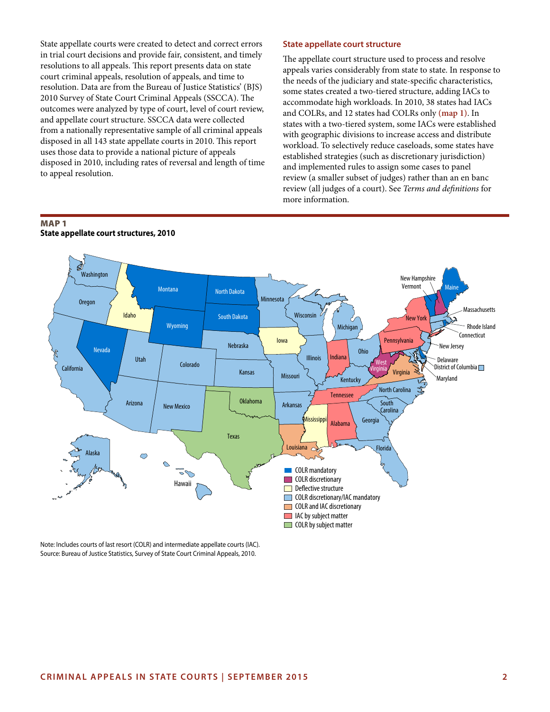State appellate courts were created to detect and correct errors in trial court decisions and provide fair, consistent, and timely resolutions to all appeals. This report presents data on state court criminal appeals, resolution of appeals, and time to resolution. Data are from the Bureau of Justice Statistics' (BJS) 2010 Survey of State Court Criminal Appeals (SSCCA). The outcomes were analyzed by type of court, level of court review, and appellate court structure. SSCCA data were collected from a nationally representative sample of all criminal appeals disposed in all 143 state appellate courts in 2010. This report uses those data to provide a national picture of appeals disposed in 2010, including rates of reversal and length of time to appeal resolution.

### **State appellate court structure**

The appellate court structure used to process and resolve appeals varies considerably from state to state. In response to the needs of the judiciary and state-specific characteristics, some states created a two-tiered structure, adding IACs to accommodate high workloads. In 2010, 38 states had IACs and COLRs, and 12 states had COLRs only **(map 1)**. In states with a two-tiered system, some IACs were established with geographic divisions to increase access and distribute workload. To selectively reduce caseloads, some states have established strategies (such as discretionary jurisdiction) and implemented rules to assign some cases to panel review (a smaller subset of judges) rather than an en banc review (all judges of a court). See *Terms and definitions* for more information.

## MAP 1 **State appellate court structures, 2010**



Note: Includes courts of last resort (COLR) and intermediate appellate courts (IAC). Source: Bureau of Justice Statistics, Survey of State Court Criminal Appeals, 2010.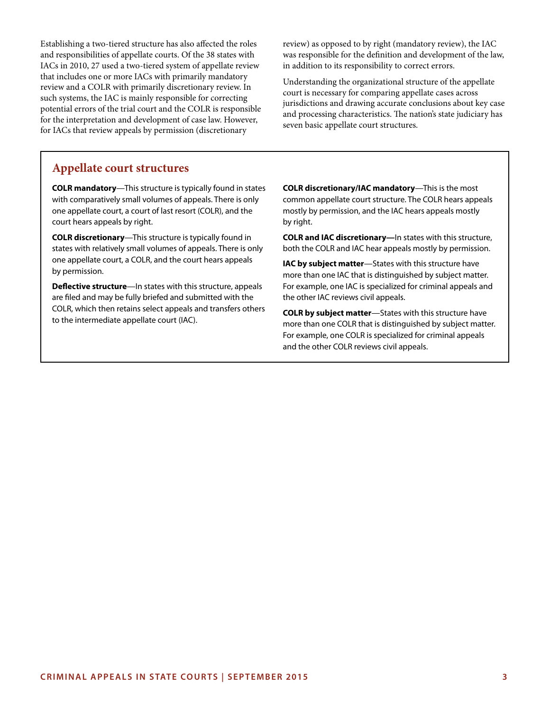Establishing a two-tiered structure has also affected the roles and responsibilities of appellate courts. Of the 38 states with IACs in 2010, 27 used a two-tiered system of appellate review that includes one or more IACs with primarily mandatory review and a COLR with primarily discretionary review. In such systems, the IAC is mainly responsible for correcting potential errors of the trial court and the COLR is responsible for the interpretation and development of case law. However, for IACs that review appeals by permission (discretionary

review) as opposed to by right (mandatory review), the IAC was responsible for the definition and development of the law, in addition to its responsibility to correct errors.

Understanding the organizational structure of the appellate court is necessary for comparing appellate cases across jurisdictions and drawing accurate conclusions about key case and processing characteristics. The nation's state judiciary has seven basic appellate court structures.

# **Appellate court structures**

**COLR mandatory**—This structure is typically found in states with comparatively small volumes of appeals. There is only one appellate court, a court of last resort (COLR), and the court hears appeals by right.

**COLR discretionary**—This structure is typically found in states with relatively small volumes of appeals. There is only one appellate court, a COLR, and the court hears appeals by permission.

**Deflective structure**—In states with this structure, appeals are filed and may be fully briefed and submitted with the COLR, which then retains select appeals and transfers others to the intermediate appellate court (IAC).

**COLR discretionary/IAC mandatory**—This is the most common appellate court structure. The COLR hears appeals mostly by permission, and the IAC hears appeals mostly by right.

**COLR and IAC discretionary***—*In states with this structure, both the COLR and IAC hear appeals mostly by permission.

**IAC by subject matter**—States with this structure have more than one IAC that is distinguished by subject matter. For example, one IAC is specialized for criminal appeals and the other IAC reviews civil appeals.

**COLR by subject matter**—States with this structure have more than one COLR that is distinguished by subject matter. For example, one COLR is specialized for criminal appeals and the other COLR reviews civil appeals.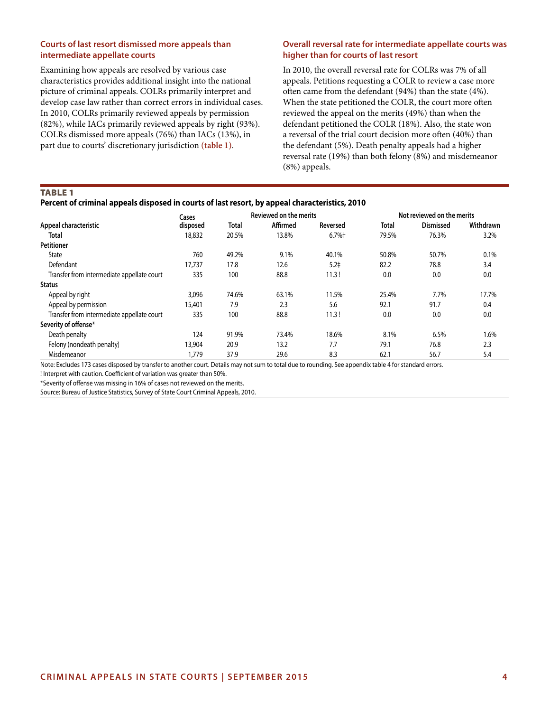## **Courts of last resort dismissed more appeals than intermediate appellate courts**

Examining how appeals are resolved by various case characteristics provides additional insight into the national picture of criminal appeals. COLRs primarily interpret and develop case law rather than correct errors in individual cases. In 2010, COLRs primarily reviewed appeals by permission (82%), while IACs primarily reviewed appeals by right (93%). COLRs dismissed more appeals (76%) than IACs (13%), in part due to courts' discretionary jurisdiction **(table 1)**.

## **Overall reversal rate for intermediate appellate courts was higher than for courts of last resort**

In 2010, the overall reversal rate for COLRs was 7% of all appeals. Petitions requesting a COLR to review a case more often came from the defendant (94%) than the state (4%). When the state petitioned the COLR, the court more often reviewed the appeal on the merits (49%) than when the defendant petitioned the COLR (18%). Also, the state won a reversal of the trial court decision more often (40%) than the defendant (5%). Death penalty appeals had a higher reversal rate (19%) than both felony (8%) and misdemeanor (8%) appeals.

Table 1

### **Percent of criminal appeals disposed in courts of last resort, by appeal characteristics, 2010**

|                                            | Cases    |              | Reviewed on the merits |                  |       | Not reviewed on the merits |           |
|--------------------------------------------|----------|--------------|------------------------|------------------|-------|----------------------------|-----------|
| Appeal characteristic                      | disposed | <b>Total</b> | Affirmed               | Reversed         | Total | <b>Dismissed</b>           | Withdrawn |
| <b>Total</b>                               | 18,832   | 20.5%        | 13.8%                  | 6.7%             | 79.5% | 76.3%                      | 3.2%      |
| Petitioner                                 |          |              |                        |                  |       |                            |           |
| State                                      | 760      | 49.2%        | 9.1%                   | 40.1%            | 50.8% | 50.7%                      | 0.1%      |
| Defendant                                  | 17.737   | 17.8         | 12.6                   | 5.2 <sup>†</sup> | 82.2  | 78.8                       | 3.4       |
| Transfer from intermediate appellate court | 335      | 100          | 88.8                   | 11.3!            | 0.0   | 0.0                        | 0.0       |
| <b>Status</b>                              |          |              |                        |                  |       |                            |           |
| Appeal by right                            | 3,096    | 74.6%        | 63.1%                  | 11.5%            | 25.4% | 7.7%                       | 17.7%     |
| Appeal by permission                       | 15,401   | 7.9          | 2.3                    | 5.6              | 92.1  | 91.7                       | 0.4       |
| Transfer from intermediate appellate court | 335      | 100          | 88.8                   | 11.3!            | 0.0   | 0.0                        | 0.0       |
| Severity of offense*                       |          |              |                        |                  |       |                            |           |
| Death penalty                              | 124      | 91.9%        | 73.4%                  | 18.6%            | 8.1%  | 6.5%                       | 1.6%      |
| Felony (nondeath penalty)                  | 13,904   | 20.9         | 13.2                   | 7.7              | 79.1  | 76.8                       | 2.3       |
| Misdemeanor                                | 1,779    | 37.9         | 29.6                   | 8.3              | 62.1  | 56.7                       | 5.4       |

Note: Excludes 173 cases disposed by transfer to another court. Details may not sum to total due to rounding. See appendix table 4 for standard errors.

! Interpret with caution. Coefficient of variation was greater than 50%.

\*Severity of offense was missing in 16% of cases not reviewed on the merits. Source: Bureau of Justice Statistics, Survey of State Court Criminal Appeals, 2010.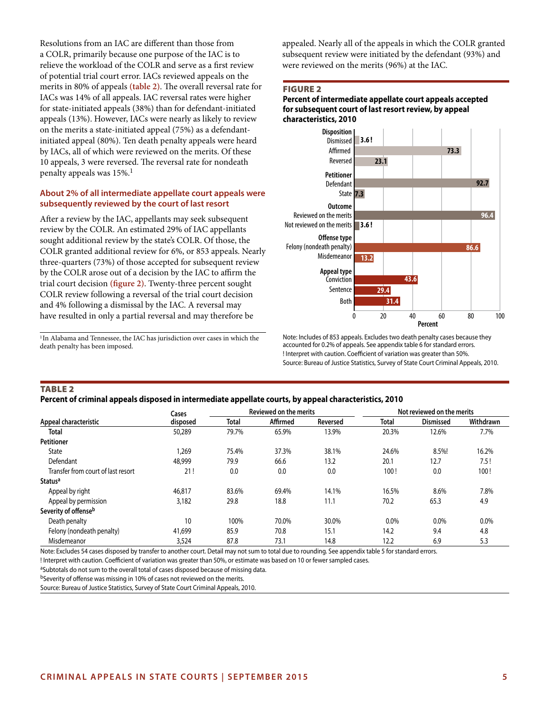Resolutions from an IAC are different than those from a COLR, primarily because one purpose of the IAC is to relieve the workload of the COLR and serve as a first review of potential trial court error. IACs reviewed appeals on the merits in 80% of appeals **(table 2)**. The overall reversal rate for IACs was 14% of all appeals. IAC reversal rates were higher for state-initiated appeals (38%) than for defendant-initiated appeals (13%). However, IACs were nearly as likely to review on the merits a state-initiated appeal (75%) as a defendantinitiated appeal (80%). Ten death penalty appeals were heard by IACs, all of which were reviewed on the merits. Of these 10 appeals, 3 were reversed. The reversal rate for nondeath penalty appeals was 15%.<sup>1</sup>

### **About 2% of all intermediate appellate court appeals were subsequently reviewed by the court of last resort**

After a review by the IAC, appellants may seek subsequent review by the COLR. An estimated 29% of IAC appellants sought additional review by the state's COLR. Of those, the COLR granted additional review for 6%, or 853 appeals. Nearly three-quarters (73%) of those accepted for subsequent review by the COLR arose out of a decision by the IAC to affirm the trial court decision **(figure 2)**. Twenty-three percent sought COLR review following a reversal of the trial court decision and 4% following a dismissal by the IAC. A reversal may have resulted in only a partial reversal and may therefore be

<sup>1</sup>In Alabama and Tennessee, the IAC has jurisdiction over cases in which the death penalty has been imposed.

appealed. Nearly all of the appeals in which the COLR granted subsequent review were initiated by the defendant (93%) and were reviewed on the merits (96%) at the IAC.

### Figure 2

### **Percent of intermediate appellate court appeals accepted for subsequent court of last resort review, by appeal characteristics, 2010**



Note: Includes of 853 appeals. Excludes two death penalty cases because they accounted for 0.2% of appeals. See appendix table 6 for standard errors. ! Interpret with caution. Coefficient of variation was greater than 50%. Source: Bureau of Justice Statistics, Survey of State Court Criminal Appeals, 2010.

### **TABLE 2**

### **Percent of criminal appeals disposed in intermediate appellate courts, by appeal characteristics, 2010**

|                                    | Cases    |       | Reviewed on the merits |          |       | Not reviewed on the merits |           |  |
|------------------------------------|----------|-------|------------------------|----------|-------|----------------------------|-----------|--|
| Appeal characteristic              | disposed | Total | Affirmed               | Reversed | Total | <b>Dismissed</b>           | Withdrawn |  |
| Total                              | 50,289   | 79.7% | 65.9%                  | 13.9%    | 20.3% | 12.6%                      | 7.7%      |  |
| <b>Petitioner</b>                  |          |       |                        |          |       |                            |           |  |
| State                              | .269     | 75.4% | 37.3%                  | 38.1%    | 24.6% | 8.5%!                      | 16.2%     |  |
| Defendant                          | 48,999   | 79.9  | 66.6                   | 13.2     | 20.1  | 12.7                       | 7.5!      |  |
| Transfer from court of last resort | 21!      | 0.0   | 0.0                    | 0.0      | 100!  | 0.0                        | 100!      |  |
| <b>Status<sup>a</sup></b>          |          |       |                        |          |       |                            |           |  |
| Appeal by right                    | 46,817   | 83.6% | 69.4%                  | 14.1%    | 16.5% | 8.6%                       | 7.8%      |  |
| Appeal by permission               | 3,182    | 29.8  | 18.8                   | 11.1     | 70.2  | 65.3                       | 4.9       |  |
| Severity of offenseb               |          |       |                        |          |       |                            |           |  |
| Death penalty                      | 10       | 100%  | 70.0%                  | 30.0%    | 0.0%  | 0.0%                       | 0.0%      |  |
| Felony (nondeath penalty)          | 41,699   | 85.9  | 70.8                   | 15.1     | 14.2  | 9.4                        | 4.8       |  |
| Misdemeanor                        | 3,524    | 87.8  | 73.1                   | 14.8     | 12.2  | 6.9                        | 5.3       |  |

Note: Excludes 54 cases disposed by transfer to another court. Detail may not sum to total due to rounding. See appendix table 5 for standard errors.

! Interpret with caution. Coefficient of variation was greater than 50%, or estimate was based on 10 or fewer sampled cases.

aSubtotals do not sum to the overall total of cases disposed because of missing data.

bSeverity of offense was missing in 10% of cases not reviewed on the merits.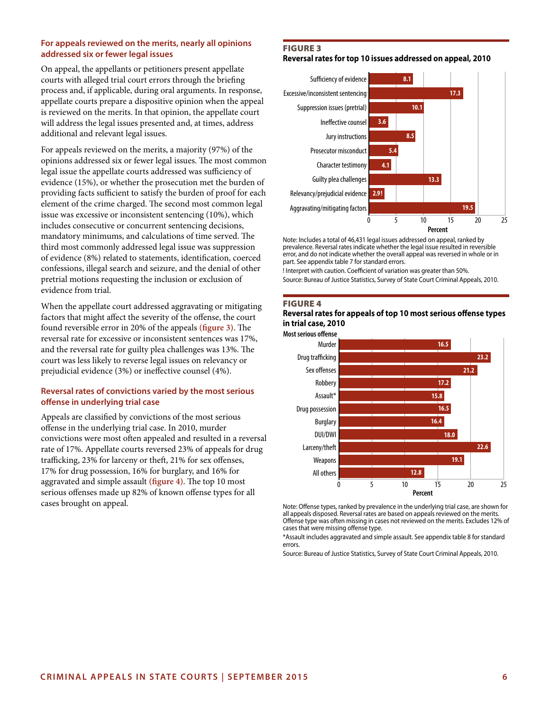## **For appeals reviewed on the merits, nearly all opinions addressed six or fewer legal issues**

On appeal, the appellants or petitioners present appellate courts with alleged trial court errors through the briefing process and, if applicable, during oral arguments. In response, appellate courts prepare a dispositive opinion when the appeal is reviewed on the merits. In that opinion, the appellate court will address the legal issues presented and, at times, address additional and relevant legal issues.

For appeals reviewed on the merits, a majority (97%) of the opinions addressed six or fewer legal issues. The most common legal issue the appellate courts addressed was sufficiency of evidence (15%), or whether the prosecution met the burden of providing facts sufficient to satisfy the burden of proof for each element of the crime charged. The second most common legal issue was excessive or inconsistent sentencing (10%), which includes consecutive or concurrent sentencing decisions, mandatory minimums, and calculations of time served. The third most commonly addressed legal issue was suppression of evidence (8%) related to statements, identification, coerced confessions, illegal search and seizure, and the denial of other pretrial motions requesting the inclusion or exclusion of evidence from trial.

When the appellate court addressed aggravating or mitigating factors that might affect the severity of the offense, the court found reversible error in 20% of the appeals **(figure 3)**. The reversal rate for excessive or inconsistent sentences was 17%, and the reversal rate for guilty plea challenges was 13%. The court was less likely to reverse legal issues on relevancy or prejudicial evidence (3%) or ineffective counsel (4%).

## **Reversal rates of convictions varied by the most serious offense in underlying trial case**

Appeals are classified by convictions of the most serious offense in the underlying trial case. In 2010, murder convictions were most often appealed and resulted in a reversal rate of 17%. Appellate courts reversed 23% of appeals for drug trafficking, 23% for larceny or theft, 21% for sex offenses, 17% for drug possession, 16% for burglary, and 16% for aggravated and simple assault **(figure 4)**. The top 10 most serious offenses made up 82% of known offense types for all cases brought on appeal.

### Figure 3

**Reversal rates for top 10 issues addressed on appeal, 2010**



Note: Includes a total of 46,431 legal issues addressed on appeal, ranked by prevalence. Reversal rates indicate whether the legal issue resulted in reversible error, and do not indicate whether the overall appeal was reversed in whole or in part. See appendix table 7 for standard errors.

! Interpret with caution. Coefficient of variation was greater than 50%. Source: Bureau of Justice Statistics, Survey of State Court Criminal Appeals, 2010.

### Figure 4

### **Reversal rates for appeals of top 10 most serious offense types in trial case, 2010**



Note: Offense types, ranked by prevalence in the underlying trial case, are shown for all appeals disposed. Reversal rates are based on appeals reviewed on the merits. Offense type was often missing in cases not reviewed on the merits. Excludes 12% of cases that were missing offense type.

\*Assault includes aggravated and simple assault. See appendix table 8 for standard errors.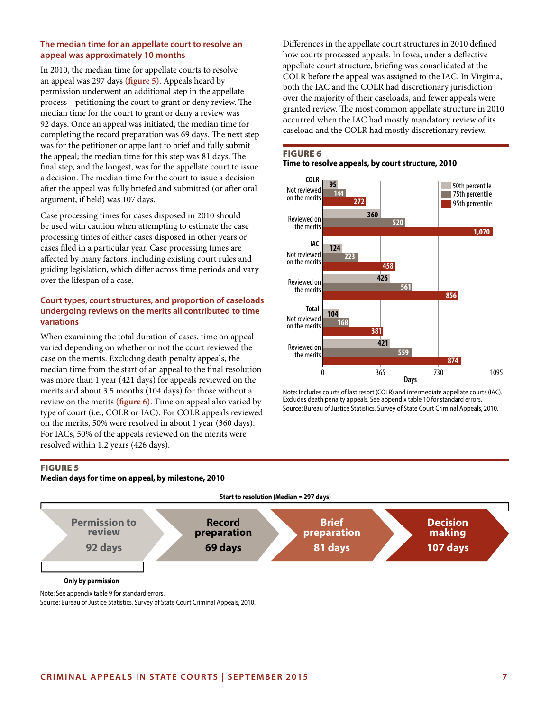## **The median time for an appellate court to resolve an appeal was approximately 10 months**

In 2010, the median time for appellate courts to resolve an appeal was 297 days **(figure 5)**. Appeals heard by permission underwent an additional step in the appellate process—petitioning the court to grant or deny review. The median time for the court to grant or deny a review was 92 days. Once an appeal was initiated, the median time for completing the record preparation was 69 days. The next step was for the petitioner or appellant to brief and fully submit the appeal; the median time for this step was 81 days. The final step, and the longest, was for the appellate court to issue a decision. The median time for the court to issue a decision after the appeal was fully briefed and submitted (or after oral argument, if held) was 107 days.

Case processing times for cases disposed in 2010 should be used with caution when attempting to estimate the case processing times of either cases disposed in other years or cases filed in a particular year. Case processing times are affected by many factors, including existing court rules and guiding legislation, which differ across time periods and vary over the lifespan of a case.

## **Court types, court structures, and proportion of caseloads undergoing reviews on the merits all contributed to time variations**

When examining the total duration of cases, time on appeal varied depending on whether or not the court reviewed the case on the merits. Excluding death penalty appeals, the median time from the start of an appeal to the final resolution was more than 1 year (421 days) for appeals reviewed on the merits and about 3.5 months (104 days) for those without a review on the merits **(figure 6)**. Time on appeal also varied by type of court (i.e., COLR or IAC). For COLR appeals reviewed on the merits, 50% were resolved in about 1 year (360 days). For IACs, 50% of the appeals reviewed on the merits were resolved within 1.2 years (426 days).

Differences in the appellate court structures in 2010 defined how courts processed appeals. In Iowa, under a deflective appellate court structure, briefing was consolidated at the COLR before the appeal was assigned to the IAC. In Virginia, both the IAC and the COLR had discretionary jurisdiction over the majority of their caseloads, and fewer appeals were granted review. The most common appellate structure in 2010 occurred when the IAC had mostly mandatory review of its caseload and the COLR had mostly discretionary review.

# Figure 6 **Time to resolve appeals, by court structure, 2010**



Note: Includes courts of last resort (COLR) and intermediate appellate courts (IAC). Excludes death penalty appeals. See appendix table 10 for standard errors. Source: Bureau of Justice Statistics, Survey of State Court Criminal Appeals, 2010.

## Figure 5

### **Median days for time on appeal, by milestone, 2010**

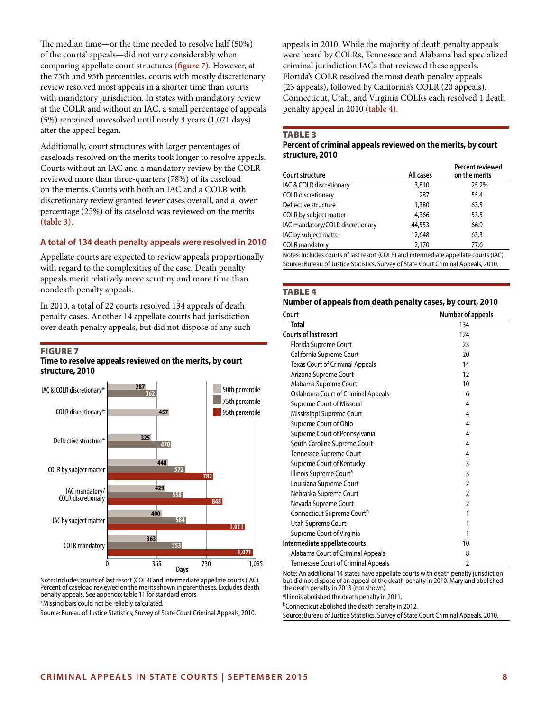The median time—or the time needed to resolve half (50%) of the courts' appeals—did not vary considerably when comparing appellate court structures **(figure 7)**. However, at the 75th and 95th percentiles, courts with mostly discretionary review resolved most appeals in a shorter time than courts with mandatory jurisdiction. In states with mandatory review at the COLR and without an IAC, a small percentage of appeals (5%) remained unresolved until nearly 3 years (1,071 days) after the appeal began.

Additionally, court structures with larger percentages of caseloads resolved on the merits took longer to resolve appeals. Courts without an IAC and a mandatory review by the COLR reviewed more than three-quarters (78%) of its caseload on the merits. Courts with both an IAC and a COLR with discretionary review granted fewer cases overall, and a lower percentage (25%) of its caseload was reviewed on the merits **(table 3)**.

### **A total of 134 death penalty appeals were resolved in 2010**

Appellate courts are expected to review appeals proportionally with regard to the complexities of the case. Death penalty appeals merit relatively more scrutiny and more time than nondeath penalty appeals.

In 2010, a total of 22 courts resolved 134 appeals of death penalty cases. Another 14 appellate courts had jurisdiction over death penalty appeals, but did not dispose of any such

### **FIGURE 7**

### **Time to resolve appeals reviewed on the merits, by court structure, 2010**



Note: Includes courts of last resort (COLR) and intermediate appellate courts (IAC). Percent of caseload reviewed on the merits shown in parentheses. Excludes death penalty appeals. See appendix table 11 for standard errors. \*Missing bars could not be reliably calculated.

Source: Bureau of Justice Statistics, Survey of State Court Criminal Appeals, 2010.

appeals in 2010. While the majority of death penalty appeals were heard by COLRs, Tennessee and Alabama had specialized criminal jurisdiction IACs that reviewed these appeals. Florida's COLR resolved the most death penalty appeals (23 appeals), followed by California's COLR (20 appeals). Connecticut, Utah, and Virginia COLRs each resolved 1 death penalty appeal in 2010 **(table 4)**.

#### Table 3

### **Percent of criminal appeals reviewed on the merits, by court structure, 2010**

| Court structure                  | All cases | <b>Percent reviewed</b><br>on the merits |
|----------------------------------|-----------|------------------------------------------|
| IAC & COLR discretionary         | 3,810     | 25.2%                                    |
| COLR discretionary               | 287       | 55.4                                     |
| Deflective structure             | 1,380     | 63.5                                     |
| COLR by subject matter           | 4,366     | 53.5                                     |
| IAC mandatory/COLR discretionary | 44,553    | 66.9                                     |
| IAC by subject matter            | 12,648    | 63.3                                     |
| <b>COLR</b> mandatory            | 2,170     | 77.6                                     |
|                                  |           |                                          |

Notes: Includes courts of last resort (COLR) and intermediate appellate courts (IAC). Source: Bureau of Justice Statistics, Survey of State Court Criminal Appeals, 2010.

#### **TABLE 4**

### **Number of appeals from death penalty cases, by court, 2010**

| Court                                  | <b>Number of appeals</b> |
|----------------------------------------|--------------------------|
| <b>Total</b>                           | 134                      |
| <b>Courts of last resort</b>           | 124                      |
| Florida Supreme Court                  | 23                       |
| California Supreme Court               | 20                       |
| <b>Texas Court of Criminal Appeals</b> | 14                       |
| Arizona Supreme Court                  | 12                       |
| Alabama Supreme Court                  | 10                       |
| Oklahoma Court of Criminal Appeals     | 6                        |
| Supreme Court of Missouri              | 4                        |
| Mississippi Supreme Court              | 4                        |
| Supreme Court of Ohio                  | 4                        |
| Supreme Court of Pennsylvania          | 4                        |
| South Carolina Supreme Court           | 4                        |
| Tennessee Supreme Court                | 4                        |
| Supreme Court of Kentucky              | 3                        |
| Illinois Supreme Court <sup>a</sup>    | 3                        |
| Louisiana Supreme Court                | 2                        |
| Nebraska Supreme Court                 | $\mathfrak{p}$           |
| Nevada Supreme Court                   | 2                        |
| Connecticut Supreme Court <sup>b</sup> | 1                        |
| Utah Supreme Court                     |                          |
| Supreme Court of Virginia              | 1                        |
| Intermediate appellate courts          | 10                       |
| Alabama Court of Criminal Appeals      | 8                        |
| Tennessee Court of Criminal Appeals    | 2                        |

Note: An additional 14 states have appellate courts with death penalty jurisdiction but did not dispose of an appeal of the death penalty in 2010. Maryland abolished the death penalty in 2013 (not shown).

alllinois abolished the death penalty in 2011.

bConnecticut abolished the death penalty in 2012.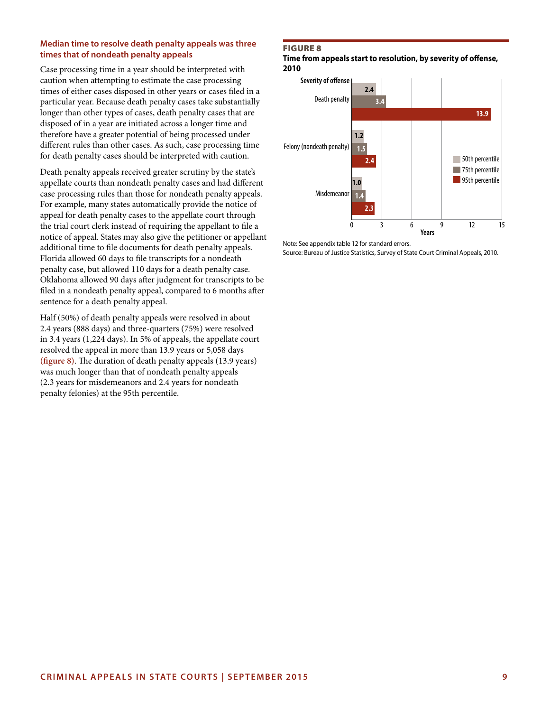## **Median time to resolve death penalty appeals was three times that of nondeath penalty appeals**

Case processing time in a year should be interpreted with caution when attempting to estimate the case processing times of either cases disposed in other years or cases filed in a particular year. Because death penalty cases take substantially longer than other types of cases, death penalty cases that are disposed of in a year are initiated across a longer time and therefore have a greater potential of being processed under different rules than other cases. As such, case processing time for death penalty cases should be interpreted with caution.

Death penalty appeals received greater scrutiny by the state's appellate courts than nondeath penalty cases and had different case processing rules than those for nondeath penalty appeals. For example, many states automatically provide the notice of appeal for death penalty cases to the appellate court through the trial court clerk instead of requiring the appellant to file a notice of appeal. States may also give the petitioner or appellant additional time to file documents for death penalty appeals. Florida allowed 60 days to file transcripts for a nondeath penalty case, but allowed 110 days for a death penalty case. Oklahoma allowed 90 days after judgment for transcripts to be filed in a nondeath penalty appeal, compared to 6 months after sentence for a death penalty appeal.

Half (50%) of death penalty appeals were resolved in about 2.4 years (888 days) and three-quarters (75%) were resolved in 3.4 years (1,224 days). In 5% of appeals, the appellate court resolved the appeal in more than 13.9 years or 5,058 days **(figure 8)**. The duration of death penalty appeals (13.9 years) was much longer than that of nondeath penalty appeals (2.3 years for misdemeanors and 2.4 years for nondeath penalty felonies) at the 95th percentile.

## Figure 8

**Time from appeals start to resolution, by severity of offense, 2010**



Note: See appendix table 12 for standard errors.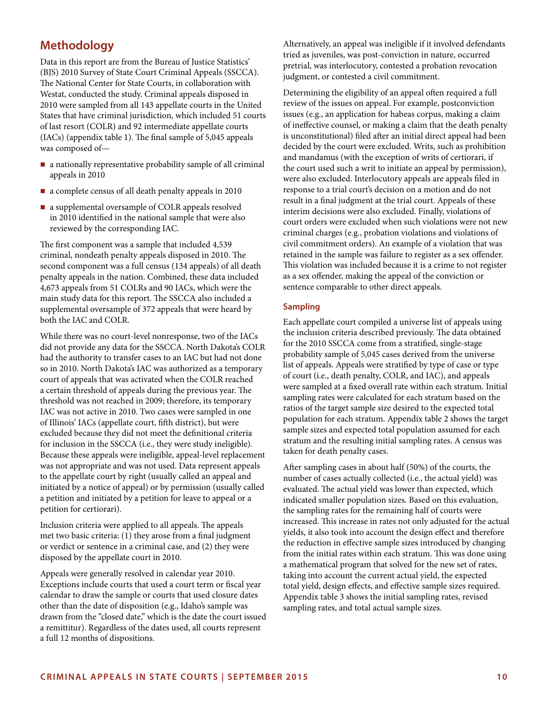# **Methodology**

Data in this report are from the Bureau of Justice Statistics' (BJS) 2010 Survey of State Court Criminal Appeals (SSCCA). The National Center for State Courts, in collaboration with Westat, conducted the study. Criminal appeals disposed in 2010 were sampled from all 143 appellate courts in the United States that have criminal jurisdiction, which included 51 courts of last resort (COLR) and 92 intermediate appellate courts (IACs) (appendix table 1). The final sample of 5,045 appeals was composed of—

- a nationally representative probability sample of all criminal appeals in 2010
- a complete census of all death penalty appeals in 2010
- a supplemental oversample of COLR appeals resolved in 2010 identified in the national sample that were also reviewed by the corresponding IAC.

The first component was a sample that included 4,539 criminal, nondeath penalty appeals disposed in 2010. The second component was a full census (134 appeals) of all death penalty appeals in the nation. Combined, these data included 4,673 appeals from 51 COLRs and 90 IACs, which were the main study data for this report. The SSCCA also included a supplemental oversample of 372 appeals that were heard by both the IAC and COLR.

While there was no court-level nonresponse, two of the IACs did not provide any data for the SSCCA. North Dakota's COLR had the authority to transfer cases to an IAC but had not done so in 2010. North Dakota's IAC was authorized as a temporary court of appeals that was activated when the COLR reached a certain threshold of appeals during the previous year. The threshold was not reached in 2009; therefore, its temporary IAC was not active in 2010. Two cases were sampled in one of Illinois' IACs (appellate court, fifth district), but were excluded because they did not meet the definitional criteria for inclusion in the SSCCA (i.e., they were study ineligible). Because these appeals were ineligible, appeal-level replacement was not appropriate and was not used. Data represent appeals to the appellate court by right (usually called an appeal and initiated by a notice of appeal) or by permission (usually called a petition and initiated by a petition for leave to appeal or a petition for certiorari).

Inclusion criteria were applied to all appeals. The appeals met two basic criteria: (1) they arose from a final judgment or verdict or sentence in a criminal case, and (2) they were disposed by the appellate court in 2010.

Appeals were generally resolved in calendar year 2010. Exceptions include courts that used a court term or fiscal year calendar to draw the sample or courts that used closure dates other than the date of disposition (e.g., Idaho's sample was drawn from the "closed date," which is the date the court issued a remittitur). Regardless of the dates used, all courts represent a full 12 months of dispositions.

Alternatively, an appeal was ineligible if it involved defendants tried as juveniles, was post-conviction in nature, occurred pretrial, was interlocutory, contested a probation revocation judgment, or contested a civil commitment.

Determining the eligibility of an appeal often required a full review of the issues on appeal. For example, postconviction issues (e.g., an application for habeas corpus, making a claim of ineffective counsel, or making a claim that the death penalty is unconstitutional) filed after an initial direct appeal had been decided by the court were excluded. Writs, such as prohibition and mandamus (with the exception of writs of certiorari, if the court used such a writ to initiate an appeal by permission), were also excluded. Interlocutory appeals are appeals filed in response to a trial court's decision on a motion and do not result in a final judgment at the trial court. Appeals of these interim decisions were also excluded. Finally, violations of court orders were excluded when such violations were not new criminal charges (e.g., probation violations and violations of civil commitment orders). An example of a violation that was retained in the sample was failure to register as a sex offender. This violation was included because it is a crime to not register as a sex offender, making the appeal of the conviction or sentence comparable to other direct appeals.

## **Sampling**

Each appellate court compiled a universe list of appeals using the inclusion criteria described previously. The data obtained for the 2010 SSCCA come from a stratified, single-stage probability sample of 5,045 cases derived from the universe list of appeals. Appeals were stratified by type of case or type of court (i.e., death penalty, COLR, and IAC), and appeals were sampled at a fixed overall rate within each stratum. Initial sampling rates were calculated for each stratum based on the ratios of the target sample size desired to the expected total population for each stratum. Appendix table 2 shows the target sample sizes and expected total population assumed for each stratum and the resulting initial sampling rates. A census was taken for death penalty cases.

After sampling cases in about half (50%) of the courts, the number of cases actually collected (i.e., the actual yield) was evaluated. The actual yield was lower than expected, which indicated smaller population sizes. Based on this evaluation, the sampling rates for the remaining half of courts were increased. This increase in rates not only adjusted for the actual yields, it also took into account the design effect and therefore the reduction in effective sample sizes introduced by changing from the initial rates within each stratum. This was done using a mathematical program that solved for the new set of rates, taking into account the current actual yield, the expected total yield, design effects, and effective sample sizes required. Appendix table 3 shows the initial sampling rates, revised sampling rates, and total actual sample sizes.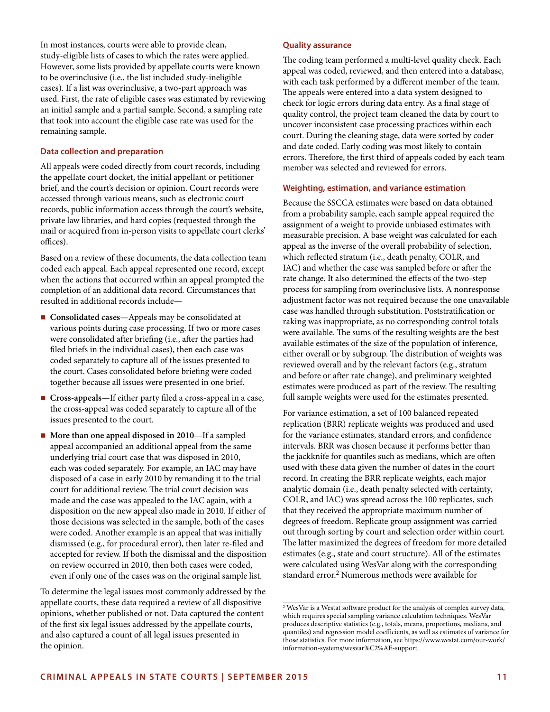In most instances, courts were able to provide clean, study-eligible lists of cases to which the rates were applied. However, some lists provided by appellate courts were known to be overinclusive (i.e., the list included study-ineligible cases). If a list was overinclusive, a two-part approach was used. First, the rate of eligible cases was estimated by reviewing an initial sample and a partial sample. Second, a sampling rate that took into account the eligible case rate was used for the remaining sample.

### **Data collection and preparation**

All appeals were coded directly from court records, including the appellate court docket, the initial appellant or petitioner brief, and the court's decision or opinion. Court records were accessed through various means, such as electronic court records, public information access through the court's website, private law libraries, and hard copies (requested through the mail or acquired from in-person visits to appellate court clerks' offices).

Based on a review of these documents, the data collection team coded each appeal. Each appeal represented one record, except when the actions that occurred within an appeal prompted the completion of an additional data record. Circumstances that resulted in additional records include—

- Consolidated cases—Appeals may be consolidated at various points during case processing. If two or more cases were consolidated after briefing (i.e., after the parties had filed briefs in the individual cases), then each case was coded separately to capture all of the issues presented to the court. Cases consolidated before briefing were coded together because all issues were presented in one brief.
- **Cross-appeals**—If either party filed a cross-appeal in a case, the cross-appeal was coded separately to capture all of the issues presented to the court.
- More than one appeal disposed in 2010—If a sampled appeal accompanied an additional appeal from the same underlying trial court case that was disposed in 2010, each was coded separately. For example, an IAC may have disposed of a case in early 2010 by remanding it to the trial court for additional review. The trial court decision was made and the case was appealed to the IAC again, with a disposition on the new appeal also made in 2010. If either of those decisions was selected in the sample, both of the cases were coded. Another example is an appeal that was initially dismissed (e.g., for procedural error), then later re-filed and accepted for review. If both the dismissal and the disposition on review occurred in 2010, then both cases were coded, even if only one of the cases was on the original sample list.

To determine the legal issues most commonly addressed by the appellate courts, these data required a review of all dispositive opinions, whether published or not. Data captured the content of the first six legal issues addressed by the appellate courts, and also captured a count of all legal issues presented in the opinion.

### **Quality assurance**

The coding team performed a multi-level quality check. Each appeal was coded, reviewed, and then entered into a database, with each task performed by a different member of the team. The appeals were entered into a data system designed to check for logic errors during data entry. As a final stage of quality control, the project team cleaned the data by court to uncover inconsistent case processing practices within each court. During the cleaning stage, data were sorted by coder and date coded. Early coding was most likely to contain errors. Therefore, the first third of appeals coded by each team member was selected and reviewed for errors.

## **Weighting, estimation, and variance estimation**

Because the SSCCA estimates were based on data obtained from a probability sample, each sample appeal required the assignment of a weight to provide unbiased estimates with measurable precision. A base weight was calculated for each appeal as the inverse of the overall probability of selection, which reflected stratum (i.e., death penalty, COLR, and IAC) and whether the case was sampled before or after the rate change. It also determined the effects of the two-step process for sampling from overinclusive lists. A nonresponse adjustment factor was not required because the one unavailable case was handled through substitution. Poststratification or raking was inappropriate, as no corresponding control totals were available. The sums of the resulting weights are the best available estimates of the size of the population of inference, either overall or by subgroup. The distribution of weights was reviewed overall and by the relevant factors (e.g., stratum and before or after rate change), and preliminary weighted estimates were produced as part of the review. The resulting full sample weights were used for the estimates presented.

For variance estimation, a set of 100 balanced repeated replication (BRR) replicate weights was produced and used for the variance estimates, standard errors, and confidence intervals. BRR was chosen because it performs better than the jackknife for quantiles such as medians, which are often used with these data given the number of dates in the court record. In creating the BRR replicate weights, each major analytic domain (i.e., death penalty selected with certainty, COLR, and IAC) was spread across the 100 replicates, such that they received the appropriate maximum number of degrees of freedom. Replicate group assignment was carried out through sorting by court and selection order within court. The latter maximized the degrees of freedom for more detailed estimates (e.g., state and court structure). All of the estimates were calculated using WesVar along with the corresponding standard error.<sup>2</sup> Numerous methods were available for

<sup>&</sup>lt;sup>2</sup> WesVar is a Westat software product for the analysis of complex survey data, which requires special sampling variance calculation techniques. WesVar produces descriptive statistics (e.g., totals, means, proportions, medians, and quantiles) and regression model coefficients, as well as estimates of variance for those statistics. For more information, see [https://www.westat.com/our-work/](https://www.westat.com/our-work/information-systems/wesvar%C2%AE-support) [information-systems/wesvar%C2%AE-support.](https://www.westat.com/our-work/information-systems/wesvar%C2%AE-support)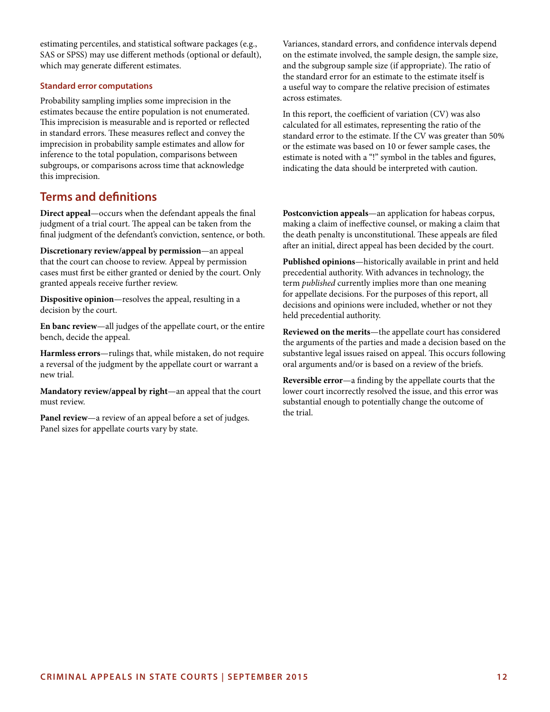estimating percentiles, and statistical software packages (e.g., SAS or SPSS) may use different methods (optional or default), which may generate different estimates.

### **Standard error computations**

Probability sampling implies some imprecision in the estimates because the entire population is not enumerated. This imprecision is measurable and is reported or reflected in standard errors. These measures reflect and convey the imprecision in probability sample estimates and allow for inference to the total population, comparisons between subgroups, or comparisons across time that acknowledge this imprecision.

# **Terms and definitions**

**Direct appeal**—occurs when the defendant appeals the final judgment of a trial court. The appeal can be taken from the final judgment of the defendant's conviction, sentence, or both.

**Discretionary review/appeal by permission**—an appeal that the court can choose to review. Appeal by permission cases must first be either granted or denied by the court. Only granted appeals receive further review.

**Dispositive opinion**—resolves the appeal, resulting in a decision by the court.

**En banc review**—all judges of the appellate court, or the entire bench, decide the appeal.

**Harmless errors**—rulings that, while mistaken, do not require a reversal of the judgment by the appellate court or warrant a new trial.

**Mandatory review/appeal by right**—an appeal that the court must review.

**Panel review**—a review of an appeal before a set of judges. Panel sizes for appellate courts vary by state.

Variances, standard errors, and confidence intervals depend on the estimate involved, the sample design, the sample size, and the subgroup sample size (if appropriate). The ratio of the standard error for an estimate to the estimate itself is a useful way to compare the relative precision of estimates across estimates.

In this report, the coefficient of variation (CV) was also calculated for all estimates, representing the ratio of the standard error to the estimate. If the CV was greater than 50% or the estimate was based on 10 or fewer sample cases, the estimate is noted with a "!" symbol in the tables and figures, indicating the data should be interpreted with caution.

**Postconviction appeals**—an application for habeas corpus, making a claim of ineffective counsel, or making a claim that the death penalty is unconstitutional. These appeals are filed after an initial, direct appeal has been decided by the court.

**Published opinions**—historically available in print and held precedential authority. With advances in technology, the term *published* currently implies more than one meaning for appellate decisions. For the purposes of this report, all decisions and opinions were included, whether or not they held precedential authority.

**Reviewed on the merits**—the appellate court has considered the arguments of the parties and made a decision based on the substantive legal issues raised on appeal. This occurs following oral arguments and/or is based on a review of the briefs.

**Reversible error**—a finding by the appellate courts that the lower court incorrectly resolved the issue, and this error was substantial enough to potentially change the outcome of the trial.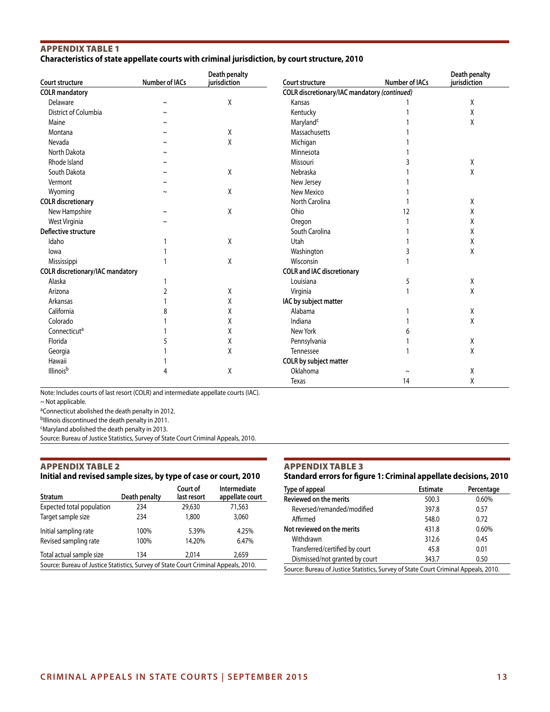## Appendix Table 1 **Characteristics of state appellate courts with criminal jurisdiction, by court structure, 2010**

| Court structure                         | Number of IACs | Death penalty<br>jurisdiction | Court structure                              | Number of IACs | Death penalty<br>jurisdiction |
|-----------------------------------------|----------------|-------------------------------|----------------------------------------------|----------------|-------------------------------|
| <b>COLR</b> mandatory                   |                |                               | COLR discretionary/IAC mandatory (continued) |                |                               |
| Delaware                                |                | Χ                             | Kansas                                       |                | χ                             |
| District of Columbia                    |                |                               | Kentucky                                     |                | Χ                             |
| Maine                                   |                |                               | Maryland <sup>c</sup>                        |                | χ                             |
| Montana                                 |                | X                             | Massachusetts                                |                |                               |
| Nevada                                  |                | X                             | Michigan                                     |                |                               |
| North Dakota                            |                |                               | Minnesota                                    |                |                               |
| Rhode Island                            |                |                               | Missouri                                     |                | χ                             |
| South Dakota                            |                | χ                             | Nebraska                                     |                | Χ                             |
| Vermont                                 |                |                               | New Jersey                                   |                |                               |
| Wyoming                                 |                | Χ                             | New Mexico                                   |                |                               |
| <b>COLR</b> discretionary               |                |                               | North Carolina                               |                | Χ                             |
| New Hampshire                           |                | χ                             | Ohio                                         | 12             | Χ                             |
| West Virginia                           |                |                               | Oregon                                       |                | χ                             |
| Deflective structure                    |                |                               | South Carolina                               |                | χ                             |
| Idaho                                   |                | Χ                             | Utah                                         |                | χ                             |
| lowa                                    |                |                               | Washington                                   |                | Χ                             |
| Mississippi                             |                | Χ                             | Wisconsin                                    |                |                               |
| <b>COLR</b> discretionary/IAC mandatory |                |                               | <b>COLR and IAC discretionary</b>            |                |                               |
| Alaska                                  |                |                               | Louisiana                                    | 5              | X                             |
| Arizona                                 | 2              | χ                             | Virginia                                     |                | χ                             |
| Arkansas                                |                | Χ                             | IAC by subject matter                        |                |                               |
| California                              |                | Χ                             | Alabama                                      |                | χ                             |
| Colorado                                |                | Χ                             | Indiana                                      |                | Χ                             |
| Connecticut <sup>a</sup>                |                | Χ                             | New York                                     |                |                               |
| Florida                                 |                | χ                             | Pennsylvania                                 |                | Χ                             |
| Georgia                                 |                | Χ                             | Tennessee                                    |                | χ                             |
| Hawaii                                  |                |                               | COLR by subject matter                       |                |                               |
| Illinois <sup>b</sup>                   |                | χ                             | Oklahoma                                     |                | χ                             |
|                                         |                |                               | <b>Texas</b>                                 | 14             | Χ                             |

Note: Includes courts of last resort (COLR) and intermediate appellate courts (IAC).

~ Not applicable.

aConnecticut abolished the death penalty in 2012.

b<sub>Illinois</sub> discontinued the death penalty in 2011.

cMaryland abolished the death penalty in 2013.

Source: Bureau of Justice Statistics, Survey of State Court Criminal Appeals, 2010.

## Appendix Table 2

### **Initial and revised sample sizes, by type of case or court, 2010**

| <b>Stratum</b>                                                                      | Death penalty | Court of<br>last resort | Intermediate<br>appellate court |  |
|-------------------------------------------------------------------------------------|---------------|-------------------------|---------------------------------|--|
| Expected total population                                                           | 234           | 29,630                  | 71,563                          |  |
| Target sample size                                                                  | 234           | 1,800                   | 3,060                           |  |
| Initial sampling rate                                                               | 100%          | 5.39%                   | 4.25%                           |  |
| Revised sampling rate                                                               | 100%          | 14.20%                  | 6.47%                           |  |
| Total actual sample size                                                            | 134           | 2.014                   | 2,659                           |  |
| Source: Bureau of Justice Statistics, Survey of State Court Criminal Appeals, 2010. |               |                         |                                 |  |

## Appendix Table 3

### **Standard errors for figure 1: Criminal appellate decisions, 2010**

| Type of appeal                                                                      | <b>Estimate</b> | Percentage |
|-------------------------------------------------------------------------------------|-----------------|------------|
| <b>Reviewed on the merits</b>                                                       | 500.3           | 0.60%      |
| Reversed/remanded/modified                                                          | 397.8           | 0.57       |
| Affirmed                                                                            | 548.0           | 0.72       |
| Not reviewed on the merits                                                          | 431.8           | 0.60%      |
| Withdrawn                                                                           | 312.6           | 0.45       |
| Transferred/certified by court                                                      | 45.8            | 0.01       |
| Dismissed/not granted by court                                                      | 343.7           | 0.50       |
| Source: Bureau of Justice Statistics, Survey of State Court Criminal Appeals, 2010. |                 |            |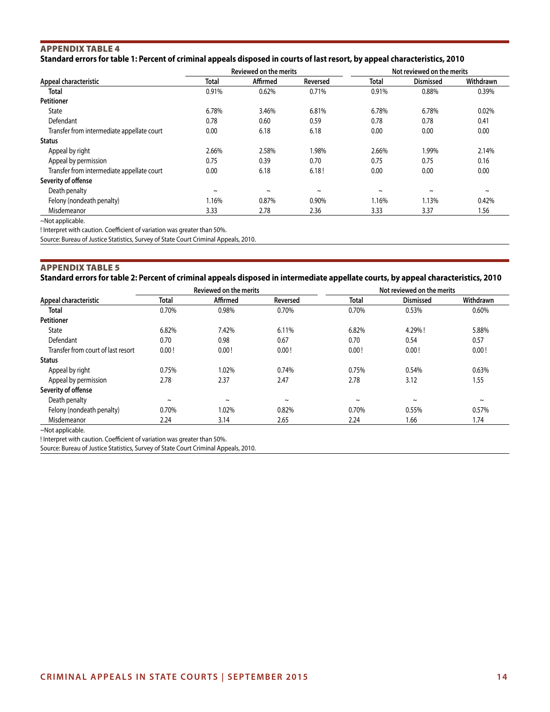## Appendix Table 4 **Standard errors for table 1: Percent of criminal appeals disposed in courts of last resort, by appeal characteristics, 2010**

|                                            |                       | <b>Reviewed on the merits</b> |          |        | Not reviewed on the merits |            |
|--------------------------------------------|-----------------------|-------------------------------|----------|--------|----------------------------|------------|
| Appeal characteristic                      | <b>Total</b>          | Affirmed                      | Reversed | Total  | <b>Dismissed</b>           | Withdrawn  |
| Total                                      | 0.91%                 | 0.62%                         | 0.71%    | 0.91%  | 0.88%                      | 0.39%      |
| <b>Petitioner</b>                          |                       |                               |          |        |                            |            |
| <b>State</b>                               | 6.78%                 | 3.46%                         | 6.81%    | 6.78%  | 6.78%                      | 0.02%      |
| Defendant                                  | 0.78                  | 0.60                          | 0.59     | 0.78   | 0.78                       | 0.41       |
| Transfer from intermediate appellate court | 0.00                  | 6.18                          | 6.18     | 0.00   | 0.00                       | 0.00       |
| <b>Status</b>                              |                       |                               |          |        |                            |            |
| Appeal by right                            | 2.66%                 | 2.58%                         | 1.98%    | 2.66%  | 1.99%                      | 2.14%      |
| Appeal by permission                       | 0.75                  | 0.39                          | 0.70     | 0.75   | 0.75                       | 0.16       |
| Transfer from intermediate appellate court | 0.00                  | 6.18                          | 6.18!    | 0.00   | 0.00                       | 0.00       |
| Severity of offense                        |                       |                               |          |        |                            |            |
| Death penalty                              | $\tilde{\phantom{a}}$ | $\tilde{}$                    | $\sim$   | $\sim$ | $\tilde{}$                 | $\tilde{}$ |
| Felony (nondeath penalty)                  | 1.16%                 | 0.87%                         | 0.90%    | 1.16%  | 1.13%                      | 0.42%      |
| Misdemeanor                                | 3.33                  | 2.78                          | 2.36     | 3.33   | 3.37                       | 1.56       |

~Not applicable.

! Interpret with caution. Coefficient of variation was greater than 50%.

Source: Bureau of Justice Statistics, Survey of State Court Criminal Appeals, 2010.

### Appendix Table 5 **Standard errors for table 2: Percent of criminal appeals disposed in intermediate appellate courts, by appeal characteristics, 2010**

|                                    |            | <b>Reviewed on the merits</b> |            |                       | Not reviewed on the merits |            |
|------------------------------------|------------|-------------------------------|------------|-----------------------|----------------------------|------------|
| Appeal characteristic              | Total      | Affirmed                      | Reversed   | Total                 | <b>Dismissed</b>           | Withdrawn  |
| Total                              | 0.70%      | 0.98%                         | 0.70%      | 0.70%                 | 0.53%                      | 0.60%      |
| <b>Petitioner</b>                  |            |                               |            |                       |                            |            |
| State                              | 6.82%      | 7.42%                         | 6.11%      | 6.82%                 | 4.29%!                     | 5.88%      |
| Defendant                          | 0.70       | 0.98                          | 0.67       | 0.70                  | 0.54                       | 0.57       |
| Transfer from court of last resort | 0.00!      | 0.00!                         | 0.00!      | 0.00!                 | 0.00!                      | 0.00!      |
| <b>Status</b>                      |            |                               |            |                       |                            |            |
| Appeal by right                    | 0.75%      | 1.02%                         | 0.74%      | 0.75%                 | 0.54%                      | 0.63%      |
| Appeal by permission               | 2.78       | 2.37                          | 2.47       | 2.78                  | 3.12                       | 1.55       |
| Severity of offense                |            |                               |            |                       |                            |            |
| Death penalty                      | $\tilde{}$ | $\tilde{\phantom{a}}$         | $\tilde{}$ | $\tilde{\phantom{a}}$ | $\sim$                     | $\tilde{}$ |
| Felony (nondeath penalty)          | 0.70%      | 1.02%                         | 0.82%      | 0.70%                 | 0.55%                      | 0.57%      |
| Misdemeanor                        | 2.24       | 3.14                          | 2.65       | 2.24                  | 1.66                       | 1.74       |

~Not applicable.

! Interpret with caution. Coefficient of variation was greater than 50%.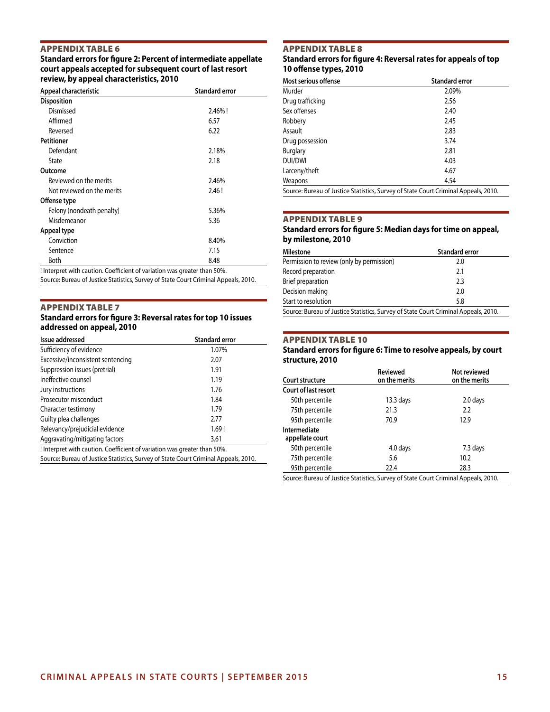# Appendix Table 6

**Standard errors for figure 2: Percent of intermediate appellate court appeals accepted for subsequent court of last resort review, by appeal characteristics, 2010**

| Appeal characteristic      | <b>Standard error</b> |
|----------------------------|-----------------------|
| <b>Disposition</b>         |                       |
| Dismissed                  | $2.46\%$ !            |
| Affirmed                   | 6.57                  |
| Reversed                   | 6.22                  |
| <b>Petitioner</b>          |                       |
| Defendant                  | 2.18%                 |
| State                      | 2.18                  |
| Outcome                    |                       |
| Reviewed on the merits     | 2.46%                 |
| Not reviewed on the merits | 2.46!                 |
| Offense type               |                       |
| Felony (nondeath penalty)  | 5.36%                 |
| Misdemeanor                | 5.36                  |
| Appeal type                |                       |
| Conviction                 | 8.40%                 |
| Sentence                   | 7.15                  |
| <b>Both</b>                | 8.48                  |

! Interpret with caution. Coefficient of variation was greater than 50%.

Source: Bureau of Justice Statistics, Survey of State Court Criminal Appeals, 2010.

### Appendix Table 7

## **Standard errors for figure 3: Reversal rates for top 10 issues addressed on appeal, 2010**

| Issue addressed                                                          | <b>Standard error</b> |
|--------------------------------------------------------------------------|-----------------------|
| Sufficiency of evidence                                                  | 1.07%                 |
| Excessive/inconsistent sentencing                                        | 2.07                  |
| Suppression issues (pretrial)                                            | 1.91                  |
| Ineffective counsel                                                      | 1.19                  |
| Jury instructions                                                        | 1.76                  |
| Prosecutor misconduct                                                    | 1.84                  |
| Character testimony                                                      | 1.79                  |
| Guilty plea challenges                                                   | 2.77                  |
| Relevancy/prejudicial evidence                                           | 1.69!                 |
| Aggravating/mitigating factors                                           | 3.61                  |
| ! Interpret with caution. Coefficient of variation was greater than 50%. |                       |
| $\sim$ $\sim$ $\sim$ $\sim$ $\sim$ $\sim$                                |                       |

Source: Bureau of Justice Statistics, Survey of State Court Criminal Appeals, 2010.

## Appendix Table 8

### **Standard errors for figure 4: Reversal rates for appeals of top 10 offense types, 2010**

| Most serious offense | <b>Standard error</b>                                                               |
|----------------------|-------------------------------------------------------------------------------------|
| Murder               | 2.09%                                                                               |
| Drug trafficking     | 2.56                                                                                |
| Sex offenses         | 2.40                                                                                |
| Robbery              | 2.45                                                                                |
| Assault              | 2.83                                                                                |
| Drug possession      | 3.74                                                                                |
| <b>Burglary</b>      | 2.81                                                                                |
| DUI/DWI              | 4.03                                                                                |
| Larceny/theft        | 4.67                                                                                |
| Weapons              | 4.54                                                                                |
|                      | Source: Bureau of Justice Statistics, Survey of State Court Criminal Appeals, 2010. |

### Appendix Table 9

### **Standard errors for figure 5: Median days for time on appeal, by milestone, 2010**

| Milestone                                                                           | <b>Standard error</b> |  |
|-------------------------------------------------------------------------------------|-----------------------|--|
| Permission to review (only by permission)                                           | 2.0                   |  |
| Record preparation                                                                  | 2.1                   |  |
| Brief preparation                                                                   | 2.3                   |  |
| Decision making                                                                     | 2.0                   |  |
| Start to resolution                                                                 | 5.8                   |  |
| Source: Bureau of Justice Statistics, Survey of State Court Criminal Appeals, 2010. |                       |  |

# Appendix Table 10

**Standard errors for figure 6: Time to resolve appeals, by court structure, 2010**

| Court structure                                                                     | Reviewed<br>on the merits | Not reviewed<br>on the merits |  |
|-------------------------------------------------------------------------------------|---------------------------|-------------------------------|--|
| Court of last resort                                                                |                           |                               |  |
| 50th percentile                                                                     | $13.3$ days               | 2.0 days                      |  |
| 75th percentile                                                                     | 21.3                      | 2.2                           |  |
| 95th percentile                                                                     | 70.9                      | 12.9                          |  |
| Intermediate<br>appellate court                                                     |                           |                               |  |
| 50th percentile                                                                     | 4.0 days                  | 7.3 days                      |  |
| 75th percentile                                                                     | 5.6                       | 10.2                          |  |
| 95th percentile                                                                     | 22.4                      | 28.3                          |  |
| Source: Bureau of Justice Statistics, Survey of State Court Criminal Appeals, 2010. |                           |                               |  |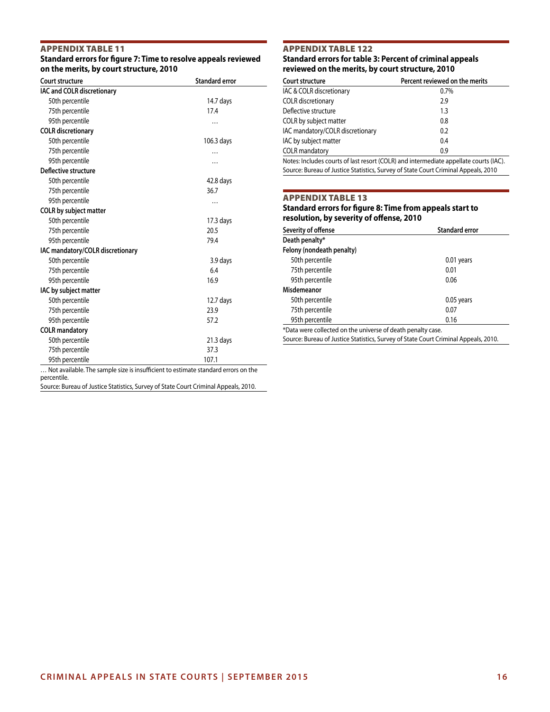## Appendix Table 11

### **Standard errors for figure 7: Time to resolve appeals reviewed on the merits, by court structure, 2010**

| Court structure                                                                       | <b>Standard error</b> |
|---------------------------------------------------------------------------------------|-----------------------|
| IAC and COLR discretionary                                                            |                       |
| 50th percentile                                                                       | 14.7 days             |
| 75th percentile                                                                       | 17.4                  |
| 95th percentile                                                                       | $\ddotsc$             |
| <b>COLR</b> discretionary                                                             |                       |
| 50th percentile                                                                       | 106.3 days            |
| 75th percentile                                                                       |                       |
| 95th percentile                                                                       |                       |
| Deflective structure                                                                  |                       |
| 50th percentile                                                                       | 42.8 days             |
| 75th percentile                                                                       | 36.7                  |
| 95th percentile                                                                       | .                     |
| COLR by subject matter                                                                |                       |
| 50th percentile                                                                       | $17.3$ days           |
| 75th percentile                                                                       | 20.5                  |
| 95th percentile                                                                       | 79.4                  |
| IAC mandatory/COLR discretionary                                                      |                       |
| 50th percentile                                                                       | 3.9 days              |
| 75th percentile                                                                       | 6.4                   |
| 95th percentile                                                                       | 16.9                  |
| IAC by subject matter                                                                 |                       |
| 50th percentile                                                                       | $12.7$ days           |
| 75th percentile                                                                       | 23.9                  |
| 95th percentile                                                                       | 57.2                  |
| <b>COLR</b> mandatory                                                                 |                       |
| 50th percentile                                                                       | 21.3 days             |
| 75th percentile                                                                       | 37.3                  |
| 95th percentile                                                                       | 107.1                 |
| Net available. The equipment of the fifth standard extincts atomshout announce on the |                       |

## Appendix Table 122 **Standard errors for table 3: Percent of criminal appeals reviewed on the merits, by court structure, 2010**

| Court structure                  | Percent reviewed on the merits |
|----------------------------------|--------------------------------|
| IAC & COLR discretionary         | $0.7\%$                        |
| <b>COLR</b> discretionary        | 2.9                            |
| Deflective structure             | 1.3                            |
| COLR by subject matter           | 0.8                            |
| IAC mandatory/COLR discretionary | 0.2                            |
| IAC by subject matter            | 0.4                            |
| <b>COLR</b> mandatory            | 0.9                            |
|                                  | $\cdots$                       |

Notes: Includes courts of last resort (COLR) and intermediate appellate courts (IAC). Source: Bureau of Justice Statistics, Survey of State Court Criminal Appeals, 2010

## Appendix Table 13

### **Standard errors for figure 8: Time from appeals start to resolution, by severity of offense, 2010**

| Severity of offense                                         | <b>Standard error</b> |
|-------------------------------------------------------------|-----------------------|
| Death penalty*                                              |                       |
| Felony (nondeath penalty)                                   |                       |
| 50th percentile                                             | 0.01 years            |
| 75th percentile                                             | 0.01                  |
| 95th percentile                                             | 0.06                  |
| Misdemeanor                                                 |                       |
| 50th percentile                                             | 0.05 years            |
| 75th percentile                                             | 0.07                  |
| 95th percentile                                             | 0.16                  |
| *Data were collected on the universe of death penalty case. |                       |

Source: Bureau of Justice Statistics, Survey of State Court Criminal Appeals, 2010.

… Not available. The sample size is insufficient to estimate standard errors on the percentile.